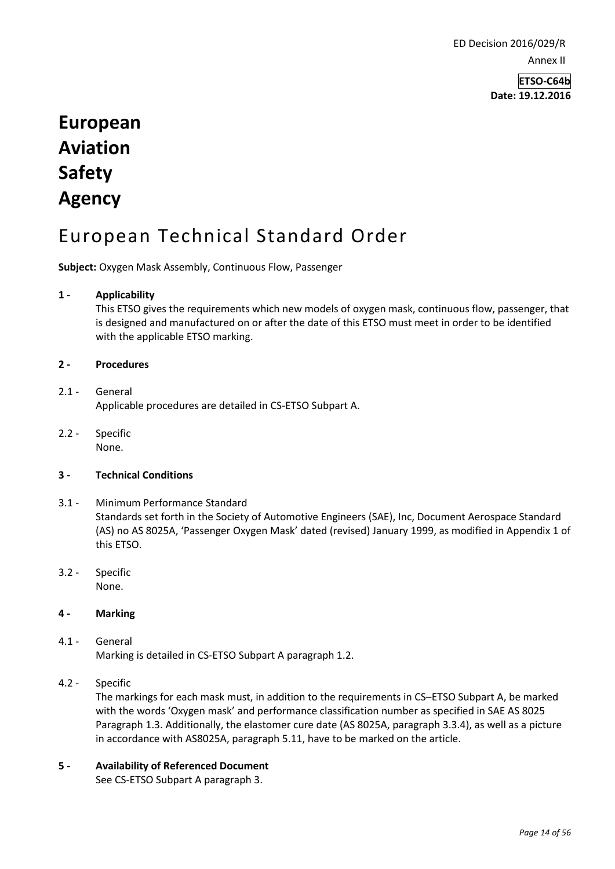ED Decision 2016/029/R Annex II

> **ETSO-C64b Date: 19.12.2016**

# **European Aviation Safety Agency**

# European Technical Standard Order

**Subject:** Oxygen Mask Assembly, Continuous Flow, Passenger

### **1 - Applicability**

This ETSO gives the requirements which new models of oxygen mask, continuous flow, passenger, that is designed and manufactured on or after the date of this ETSO must meet in order to be identified with the applicable ETSO marking.

#### **2 - Procedures**

#### 2.1 - General Applicable procedures are detailed in CS-ETSO Subpart A.

2.2 - Specific None.

#### **3 - Technical Conditions**

- 3.1 Minimum Performance Standard Standards set forth in the Society of Automotive Engineers (SAE), Inc, Document Aerospace Standard (AS) no AS 8025A, 'Passenger Oxygen Mask' dated (revised) January 1999, as modified in Appendix 1 of this ETSO.
- 3.2 Specific None.

# **4 - Marking**

- 4.1 General Marking is detailed in CS-ETSO Subpart A paragraph 1.2.
- 4.2 Specific

The markings for each mask must, in addition to the requirements in CS–ETSO Subpart A, be marked with the words 'Oxygen mask' and performance classification number as specified in SAE AS 8025 Paragraph 1.3. Additionally, the elastomer cure date (AS 8025A, paragraph 3.3.4), as well as a picture in accordance with AS8025A, paragraph 5.11, have to be marked on the article.

**5 - Availability of Referenced Document**  See CS-ETSO Subpart A paragraph 3.